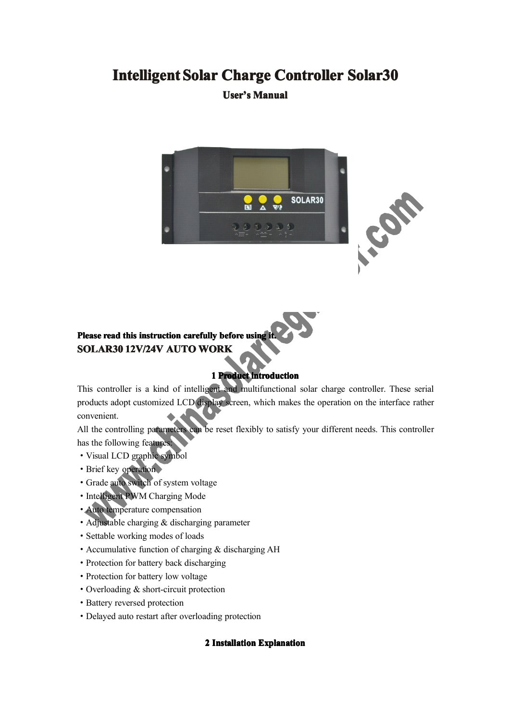# **Intelligent Solar Charge Controller Solar30**

### **User's Manual**





# **Please read this instruction instruction carefully before using it. SOLAR30 SOLAR30SOLAR3012V/24V 12V/24V AUTO WORK**

#### **1** Product introduction

This controller is <sup>a</sup> kind of intelligent and multifunctional solar charge controller. These serial products adopt customized LCD display screen, which makes the operation on the interface rather convenient.

All the controlling parameters can be reset flexibly to satisfy your different needs. This controller has the following features:

- ·Visual LCD graphic symbol
- ·Brief key operation
- ·Grade auto switch of system voltage
- ·Intelligent PWM Charging Mode
- ·Auto temperature compensation
- ·Adjustable charging & discharging parameter
- ·Settable working modes of loads
- Accumulative function of charging  $&$  discharging AH
- ·Protection for battery back discharging
- ·Protection for battery low voltage
- ·Overloading & short-circuit protection
- ·Battery reversed protection
- ·Delayed auto restart after overloading protection

#### **2 Installation Installation Explanation Explanation**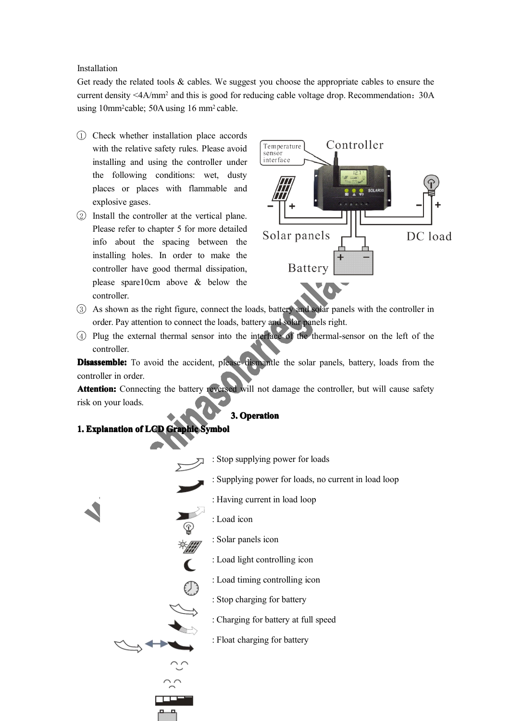#### Installation

Get ready the related tools & cables. We suggest you choose the appropriate cables to ensure the current density <4A/mm<sup>2</sup> and this is good for reducing cable voltage drop. Recommendation:30A using 10mm<sup>2</sup>cable; 50A using 16 mm<sup>2</sup> cable.

- 1 Check whether installation place accords with the relative safety rules. Please avoid installing and using the controller under the following conditions: wet, dusty places or places with flammable and explosive gases.
- 2 Install the controller at the vertical plane. Please refer to chapter 5 for more detailed info about the spacing between the installing holes. In order to make the controller have good thermal dissipation, please spare10cm above & below the controller.



- 3 As shown as the right figure, connect the loads, battery and solar panels with the controller in order. Pay attention to connect the loads, battery and solar panels right.
- 4 Plug the external thermal sensor into the interface of the thermal-sensor on the left of the controller.

**Disassemble:** To avoid the accident, please dismantle the solar panels, battery, loads from the controller in order.

**Attention: Attention:** Connecting the battery reversed will not damage the controller, but will cause safety risk on your loads.

#### **3. Operation**

#### **1. Explanation of LCD Graphic Symbol**

- : Stop supplying power for loads
- : Supplying power for loads, no current in load loop
	- : Having current in load loop
- : Load icon

 $\overline{\mathsf{C}}$ 

- : Solar panels icon
- : Load light controlling icon
- : Load timing controlling icon
- : Stop charging for battery
- : Charging for battery at full speed
- : Float charging for battery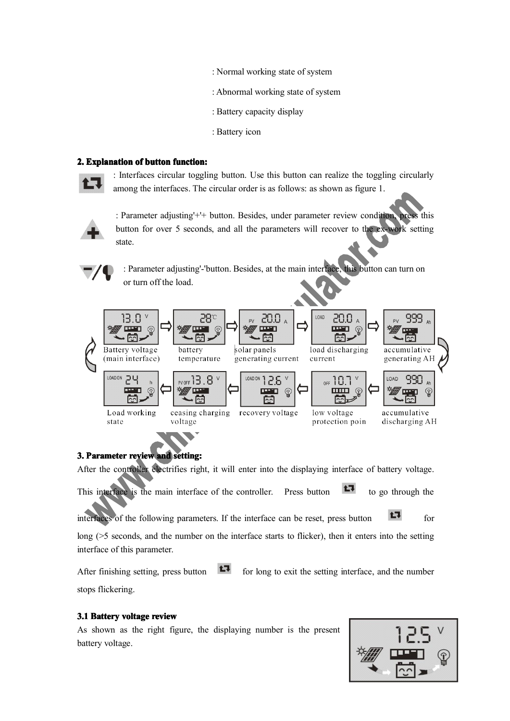- : Normal working state of system
- : Abnormal working state of system
- : Battery capacity display
- : Battery icon

#### **2. Explanation of button function: function:**



: Interfaces circular toggling button. Use this button can realize the toggling circularly among the interfaces. The circular order is as follows: as shown as figure 1.



: Parameter adjusting'+'+ button. Besides, under parameter review condition, press this button for over 5 seconds, and all the parameters will recover to the ex-work setting state.



: Parameter adjusting'-'button. Besides, at the main interface, this button can turn on or turn off the load.



#### **3. Parameter review and setting: setting:**

After the controller electrifies right, it will enter into the displaying interface of battery voltage.

This interface is the main interface of the controller. Press button  $\Box$  to go through the

interfaces of the following parameters. If the interface can be reset, press button  $\Box$  for

long (>5 seconds, and the number on the interface starts to flicker), then it enters into the setting interface of this parameter.

After finishing setting, press button  $\Box$  for long to exit the setting interface, and the number stops flickering.

#### **3.1 Battery voltage review**

As shown as the right figure, the displaying number is the presen<sup>t</sup> battery voltage.

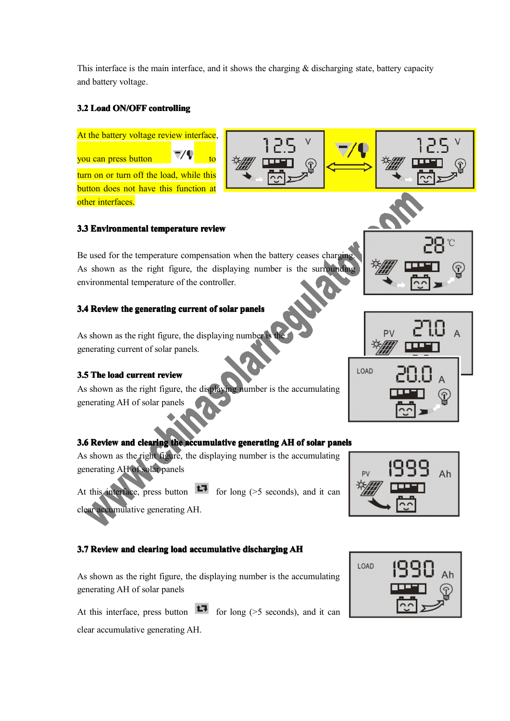This interface is the main interface, and it shows the charging  $\&$  discharging state, battery capacity and battery voltage.

#### **3.2 Load ON/OFF controlling controlling**



clear accumulative generating AH.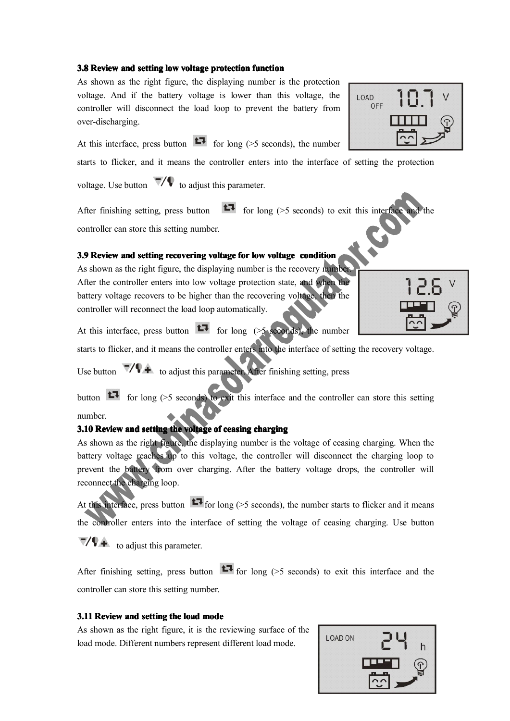#### **3.8** Review and setting low voltage protection function

As shown as the right figure, the displaying number is the protection voltage. And if the battery voltage is lower than this voltage, the controller will disconnect the load loop to preven<sup>t</sup> the battery from over-discharging.

At this interface, press button  $\Box$  for long (>5 seconds), the number

starts to flicker, and it means the controller enters into the interface of setting the protection

voltage. Use button  $\nabla/\nabla$  to adjust this parameter.

After finishing setting, press button  $f(x)$  for long (>5 seconds) to exit this interface and the controller can store this setting number.

#### 3.9 Review and setting recovering voltage for low voltage condition

As shown as the right figure, the displaying number is the recovery number. After the controller enters into low voltage protection state, and when the battery voltage recovers to be higher than the recovering voltage, then the controller will reconnect the load loop automatically.

At this interface, press button  $\mathbf{t}$  for long (>5 seconds), the number

starts to flicker, and it means the controller enters into the interface of setting the recovery voltage.

Use button  $\nabla$   $\blacklozenge$  to adjust this parameter. After finishing setting, press

button  $f(x)$  for long (>5 seconds) to exit this interface and the controller can store this setting number.

#### **3.10 Review** and setting the voltage of ceasing charging

As shown as the right figure, the displaying number is the voltage of ceasing charging. When the battery voltage reaches up to this voltage, the controller will disconnect the charging loop to preven<sup>t</sup> the battery from over charging. After the battery voltage drops, the controller will reconnect the charging loop.

At this interface, press button  $\mathbf{C}$  for long (>5 seconds), the number starts to flicker and it means the controller enters into the interface of setting the voltage of ceasing charging. Use button

 $\nabla/\nabla$  to adjust this parameter.

After finishing setting, press button  $\mathbf{L}$  for long (>5 seconds) to exit this interface and the controller can store this setting number.

#### **3.11 Review and setting the load mode**

As shown as the right figure, it is the reviewing surface of the load mode. Different numbers represen<sup>t</sup> different load mode.



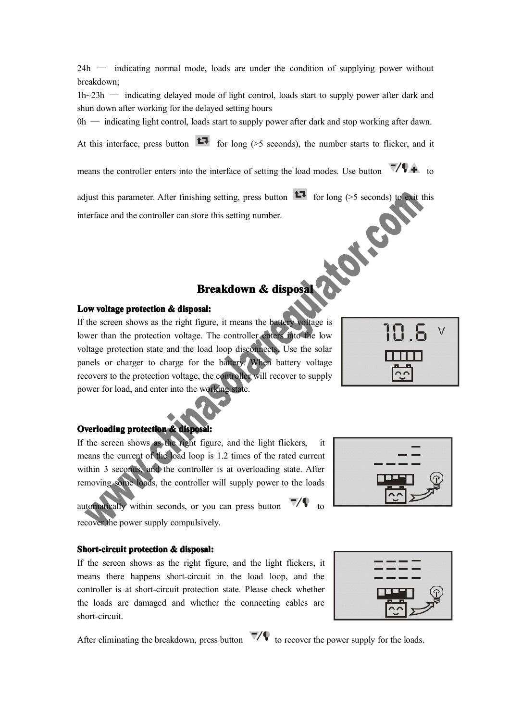24h — indicating normal mode, loads are under the condition of supplying power without breakdown;

1h~23h — indicating delayed mode of light control, loads start to supply power after dark and shun down after working for the delayed setting hours

 $0h$  — indicating light control, loads start to supply power after dark and stop working after dawn.

At this interface, press button  $\Box$  for long (>5 seconds), the number starts to flicker, and it

means the controller enters into the interface of setting the load modes. Use button  $\sqrt{4}$  to

adjust this parameter. After finishing setting, press button  $f(x)$  for long (>5 seconds) to exit this interface and the controller can store this setting number. interface and the controller can store this setting number.

# **Breakdown & disposal**

#### **Low voltage protection** & disposal:

If the screen shows as the right figure, it means the battery voltage is lower than the protection voltage. The controller enters into the low voltage protection state and the load loop disconnects. Use the solar panels or charger to charge for the battery. When battery voltage recovers to the protection voltage, the controller will recover to supply power for load, and enter into the working state.

## **Overloading protection & disposal:**

If the screen shows as the right figure, and the light flickers. means the current of the load loop is 1.2 times of the rated current within 3 seconds, and the controller is at overloading state. After removing some loads, the controller will supply power to the loads

automatically within seconds, or you can press button  $\nabla/\nabla$  to recover the power supply compulsively.

#### **Short-circuit protection & disposal:**

If the screen shows as the right figure, and the light flickers, it means there happens short-circuit in the load loop, and the controller is at short-circuit protection state. Please check whether the loads are damaged and whether the connecting cables are short-circuit.

After eliminating the breakdown, press button  $\nabla/\psi$  to recover the power supply for the loads.